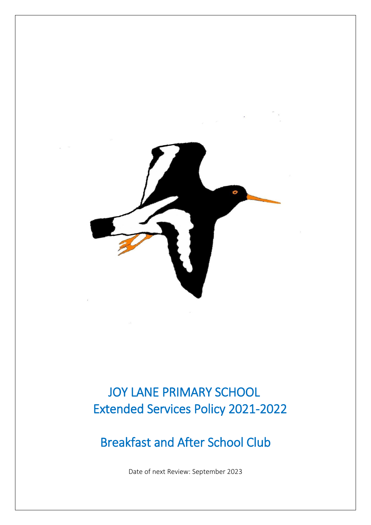

# JOY LANE PRIMARY SCHOOL Extended Services Policy 2021-2022

# Breakfast and After School Club

Date of next Review: September 2023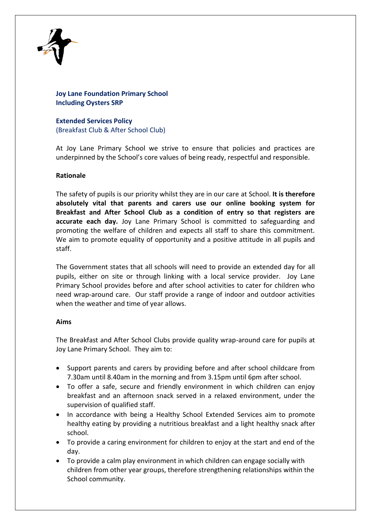

# **Joy Lane Foundation Primary School Including Oysters SRP**

**Extended Services Policy** (Breakfast Club & After School Club)

At Joy Lane Primary School we strive to ensure that policies and practices are underpinned by the School's core values of being ready, respectful and responsible.

# **Rationale**

The safety of pupils is our priority whilst they are in our care at School. **It is therefore absolutely vital that parents and carers use our online booking system for Breakfast and After School Club as a condition of entry so that registers are accurate each day.** Joy Lane Primary School is committed to safeguarding and promoting the welfare of children and expects all staff to share this commitment. We aim to promote equality of opportunity and a positive attitude in all pupils and staff.

The Government states that all schools will need to provide an extended day for all pupils, either on site or through linking with a local service provider. Joy Lane Primary School provides before and after school activities to cater for children who need wrap-around care. Our staff provide a range of indoor and outdoor activities when the weather and time of year allows.

# **Aims**

The Breakfast and After School Clubs provide quality wrap-around care for pupils at Joy Lane Primary School. They aim to:

- Support parents and carers by providing before and after school childcare from 7.30am until 8.40am in the morning and from 3.15pm until 6pm after school.
- To offer a safe, secure and friendly environment in which children can enjoy breakfast and an afternoon snack served in a relaxed environment, under the supervision of qualified staff.
- In accordance with being a Healthy School Extended Services aim to promote healthy eating by providing a nutritious breakfast and a light healthy snack after school.
- To provide a caring environment for children to enjoy at the start and end of the day.
- To provide a calm play environment in which children can engage socially with children from other year groups, therefore strengthening relationships within the School community.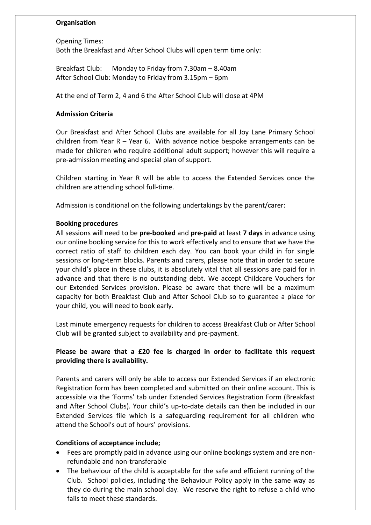# **Organisation**

Opening Times: Both the Breakfast and After School Clubs will open term time only:

Breakfast Club: Monday to Friday from 7.30am – 8.40am After School Club: Monday to Friday from 3.15pm – 6pm

At the end of Term 2, 4 and 6 the After School Club will close at 4PM

## **Admission Criteria**

Our Breakfast and After School Clubs are available for all Joy Lane Primary School children from Year R – Year 6. With advance notice bespoke arrangements can be made for children who require additional adult support; however this will require a pre-admission meeting and special plan of support.

Children starting in Year R will be able to access the Extended Services once the children are attending school full-time.

Admission is conditional on the following undertakings by the parent/carer:

## **Booking procedures**

All sessions will need to be **pre-booked** and **pre-paid** at least **7 days** in advance using our online booking service for this to work effectively and to ensure that we have the correct ratio of staff to children each day. You can book your child in for single sessions or long-term blocks. Parents and carers, please note that in order to secure your child's place in these clubs, it is absolutely vital that all sessions are paid for in advance and that there is no outstanding debt. We accept Childcare Vouchers for our Extended Services provision. Please be aware that there will be a maximum capacity for both Breakfast Club and After School Club so to guarantee a place for your child, you will need to book early.

Last minute emergency requests for children to access Breakfast Club or After School Club will be granted subject to availability and pre-payment.

# **Please be aware that a £20 fee is charged in order to facilitate this request providing there is availability.**

Parents and carers will only be able to access our Extended Services if an electronic Registration form has been completed and submitted on their online account. This is accessible via the 'Forms' tab under Extended Services Registration Form (Breakfast and After School Clubs). Your child's up-to-date details can then be included in our Extended Services file which is a safeguarding requirement for all children who attend the School's out of hours' provisions.

#### **Conditions of acceptance include;**

- Fees are promptly paid in advance using our online bookings system and are nonrefundable and non-transferable
- The behaviour of the child is acceptable for the safe and efficient running of the Club. School policies, including the Behaviour Policy apply in the same way as they do during the main school day. We reserve the right to refuse a child who fails to meet these standards.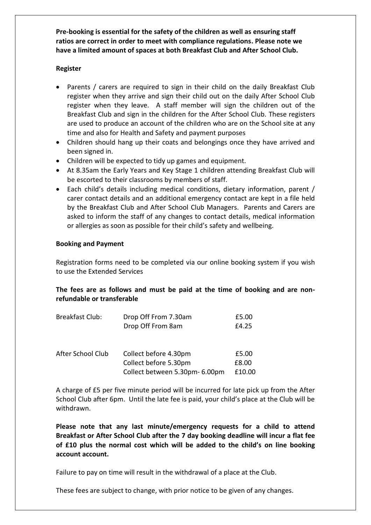**Pre-booking is essential for the safety of the children as well as ensuring staff ratios are correct in order to meet with compliance regulations. Please note we have a limited amount of spaces at both Breakfast Club and After School Club.**

## **Register**

- Parents / carers are required to sign in their child on the daily Breakfast Club register when they arrive and sign their child out on the daily After School Club register when they leave. A staff member will sign the children out of the Breakfast Club and sign in the children for the After School Club. These registers are used to produce an account of the children who are on the School site at any time and also for Health and Safety and payment purposes
- Children should hang up their coats and belongings once they have arrived and been signed in.
- Children will be expected to tidy up games and equipment.
- At 8.35am the Early Years and Key Stage 1 children attending Breakfast Club will be escorted to their classrooms by members of staff.
- Each child's details including medical conditions, dietary information, parent / carer contact details and an additional emergency contact are kept in a file held by the Breakfast Club and After School Club Managers. Parents and Carers are asked to inform the staff of any changes to contact details, medical information or allergies as soon as possible for their child's safety and wellbeing.

## **Booking and Payment**

Registration forms need to be completed via our online booking system if you wish to use the Extended Services

# **The fees are as follows and must be paid at the time of booking and are nonrefundable or transferable**

| Drop Off From 7.30am           | £5.00  |
|--------------------------------|--------|
| Drop Off From 8am              | £4.25  |
|                                |        |
| Collect before 4.30pm          | £5.00  |
| Collect before 5.30pm          | £8.00  |
| Collect between 5.30pm- 6.00pm | £10.00 |
|                                |        |

A charge of £5 per five minute period will be incurred for late pick up from the After School Club after 6pm. Until the late fee is paid, your child's place at the Club will be withdrawn.

**Please note that any last minute/emergency requests for a child to attend Breakfast or After School Club after the 7 day booking deadline will incur a flat fee of £10 plus the normal cost which will be added to the child's on line booking account account.**

Failure to pay on time will result in the withdrawal of a place at the Club.

These fees are subject to change, with prior notice to be given of any changes.